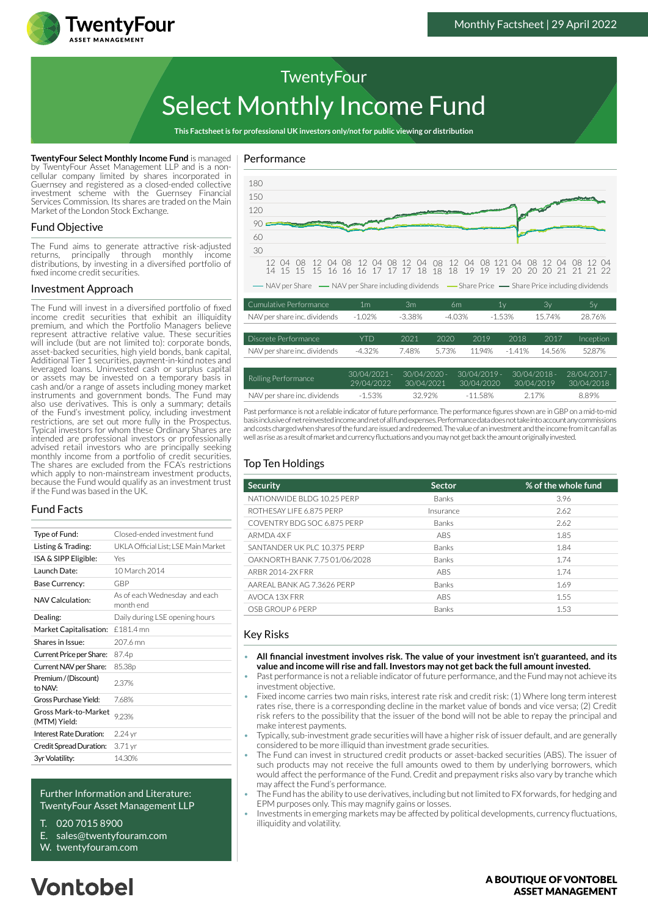

# Select Monthly Income Fund **TwentyFour**

**This Factsheet is for professional UK investors only/not for public viewing or distribution**

**TwentyFour Select Monthly Income Fund** is managed by TwentyFour Asset Management LLP and is a noncellular company limited by shares incorporated in Guernsey and registered as a closed-ended collective investment scheme with the Guernsey Financial Services Commission. Its shares are traded on the Main Market of the London Stock Exchange.

#### Fund Objective

The Fund aims to generate attractive risk-adjusted returns, principally through monthly income distributions, by investing in a diversified portfolio of fixed income credit securities.

#### Investment Approach

The Fund will invest in a diversified portfolio of fixed income credit securities that exhibit an illiquidity premium, and which the Portfolio Managers believe represent attractive relative value. These securities will include (but are not limited to): corporate bonds, asset-backed securities, high yield bonds, bank capital, Additional Tier 1 securities, payment-in-kind notes and leveraged loans. Uninvested cash or surplus capital or assets may be invested on a temporary basis in cash and/or a range of assets including money market instruments and government bonds. The Fund may also use derivatives. This is only a summary; details of the Fund's investment policy, including investment restrictions, are set out more fully in the Prospectus. Typical investors for whom these Ordinary Shares are intended are professional investors or professionally advised retail investors who are principally seeking monthly income from a portfolio of credit securities. The shares are excluded from the FCA's restrictions which apply to non-mainstream investment products. because the Fund would qualify as an investment trust if the Fund was based in the UK.

## Fund Facts

| Type of Fund:                        | Closed-ended investment fund               |  |  |
|--------------------------------------|--------------------------------------------|--|--|
| Listing & Trading:                   | UKLA Official List: LSE Main Market        |  |  |
| ISA & SIPP Eligible:                 | Yes                                        |  |  |
| Launch Date:                         | 10 March 2014                              |  |  |
| Base Currency:                       | GBP                                        |  |  |
| NAV Calculation:                     | As of each Wednesday and each<br>month end |  |  |
| Dealing:                             | Daily during LSE opening hours             |  |  |
| Market Capitalisation:               | £181.4 mn                                  |  |  |
| Shares in Issue:                     | 207.6 mn                                   |  |  |
| Current Price per Share:             | 87.4p                                      |  |  |
| Current NAV per Share:               | 85.38p                                     |  |  |
| Premium / (Discount)<br>to NAV:      | 2.37%                                      |  |  |
| Gross Purchase Yield:                | 768%                                       |  |  |
| Gross Mark-to-Market<br>(MTM) Yield: | 9.23%                                      |  |  |
| Interest Rate Duration:              | 2.24 yr                                    |  |  |
| Credit Spread Duration:              | 3.71 yr                                    |  |  |
| 3yr Volatility:                      | 14.30%                                     |  |  |
|                                      |                                            |  |  |

#### Further Information and Literature: TwentyFour Asset Management LLP

- T. 020 7015 8900
- E. sales@twentyfouram.com
- W. [twentyfouram.com](http://www.twentyfouram.com)

# Performance



Past performance is not a reliable indicator of future performance. The performance figures shown are in GBP on a mid-to-mid basis inclusive of net reinvested income and net of all fund expenses. Performance data does not take into account any commissions and costs charged when shares of the fund are issued and redeemed. The value of an investment and the income from it can fall as well as rise as a result of market and currency fluctuations and you may not get back the amount originally invested.

30/04/2021

NAV per share inc. dividends  $-1.53\%$  32.92%  $-11.58\%$  2.17% 8.89%

30/04/2020

30/04/2019

30/04/2018

29/04/2022

## Top Ten Holdings

| <b>Security</b>               | <b>Sector</b> | % of the whole fund |
|-------------------------------|---------------|---------------------|
| NATIONWIDE BLDG 10.25 PERP    | <b>Banks</b>  | 3.96                |
| ROTHESAY LIFE 6.875 PERP      | Insurance     | 2.62                |
| COVENTRY BDG SOC 6.875 PERP   | <b>Banks</b>  | 2.62                |
| ARMDA 4X F                    | <b>ABS</b>    | 1.85                |
| SANTANDER UK PLC 10.375 PERP  | <b>Banks</b>  | 1.84                |
| OAKNORTH BANK 7.75 01/06/2028 | <b>Banks</b>  | 1.74                |
| ARBR 2014-2X FRR              | ABS           | 1.74                |
| AAREAL BANK AG 7.3626 PERP    | <b>Banks</b>  | 1.69                |
| AVOCA 13X FRR                 | <b>ABS</b>    | 1.55                |
| OSB GROUP 6 PERP              | Banks         | 1.53                |

#### Key Risks

- **All financial investment involves risk. The value of your investment isn't guaranteed, and its value and income will rise and fall. Investors may not get back the full amount invested.**
- Past performance is not a reliable indicator of future performance, and the Fund may not achieve its investment objective.
- Fixed income carries two main risks, interest rate risk and credit risk: (1) Where long term interest rates rise, there is a corresponding decline in the market value of bonds and vice versa; (2) Credit risk refers to the possibility that the issuer of the bond will not be able to repay the principal and make interest payments.
- Typically, sub-investment grade securities will have a higher risk of issuer default, and are generally considered to be more illiquid than investment grade securities.
- The Fund can invest in structured credit products or asset-backed securities (ABS). The issuer of such products may not receive the full amounts owed to them by underlying borrowers, which would affect the performance of the Fund. Credit and prepayment risks also vary by tranche which may affect the Fund's performance.
- The Fund has the ability to use derivatives, including but not limited to FX forwards, for hedging and EPM purposes only. This may magnify gains or losses.
- Investments in emerging markets may be affected by political developments, currency fluctuations, illiquidity and volatility.

#### A BOUTIOUE OF VONTOBEL **ASSET MANAGEMENT**

# **Vontobel**